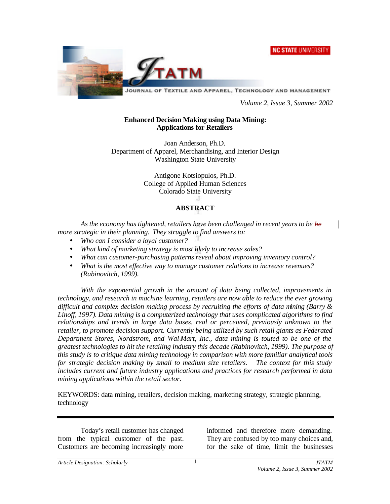**NC STATE UNIVERSITY** 



JOURNAL OF TEXTILE AND APPAREL, TECHNOLOGY AND MANAGEMENT

*Volume 2, Issue 3, Summer 2002*

#### **Enhanced Decision Making using Data Mining: Applications for Retailers**

Joan Anderson, Ph.D. Department of Apparel, Merchandising, and Interior Design Washington State University

> Antigone Kotsiopulos, Ph.D. College of Applied Human Sciences Colorado State University

# **ABSTRACT**

*As the economy has tightened, retailers have been challenged in recent years to be be more strategic in their planning. They struggle to find answers to:*

- *Who can I consider a loyal customer?*
- *What kind of marketing strategy is most likely to increase sales?*
- *What can customer-purchasing patterns reveal about improving inventory control?*
- *What is the most effective way to manage customer relations to increase revenues? (Rabinovitch, 1999).*

*With the exponential growth in the amount of data being collected, improvements in technology, and research in machine learning, retailers are now able to reduce the ever growing difficult and complex decision making process by recruiting the efforts of data mining (Barry & Linoff, 1997). Data mining is a computerized technology that uses complicated algorithms to find relationships and trends in large data bases, real or perceived, previously unknown to the retailer, to promote decision support. Currently being utilized by such retail giants as Federated Department Stores, Nordstrom, and Wal-Mart, Inc., data mining is touted to be one of the greatest technologies to hit the retailing industry this decade (Rabinovitch, 1999). The purpose of this study is to critique data mining technology in comparison with more familiar analytical tools for strategic decision making by small to medium size retailers. The context for this study includes current and future industry applications and practices for research performed in data mining applications within the retail sector.*

KEYWORDS: data mining, retailers, decision making, marketing strategy, strategic planning, technology

Today's retail customer has changed from the typical customer of the past. Customers are becoming increasingly more

informed and therefore more demanding. They are confused by too many choices and, for the sake of time, limit the businesses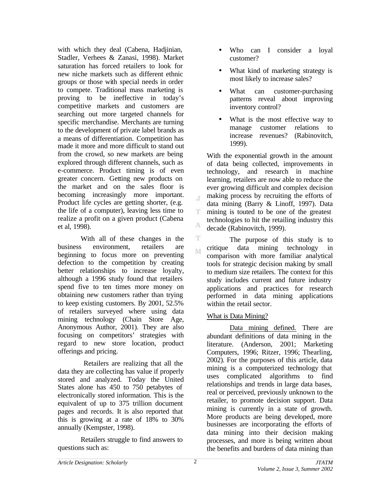with which they deal (Cabena, Hadjinian, Stadler, Verhees & Zanasi, 1998). Market saturation has forced retailers to look for new niche markets such as different ethnic groups or those with special needs in order to compete. Traditional mass marketing is proving to be ineffective in today's competitive markets and customers are searching out more targeted channels for specific merchandise. Merchants are turning to the development of private label brands as a means of differentiation. Competition has made it more and more difficult to stand out from the crowd, so new markets are being explored through different channels, such as e-commerce. Product timing is of even greater concern. Getting new products on the market and on the sales floor is becoming increasingly more important. Product life cycles are getting shorter, (e.g. the life of a computer), leaving less time to realize a profit on a given product (Cabena et al, 1998).

With all of these changes in the business environment, retailers are beginning to focus more on preventing defection to the competition by creating better relationships to increase loyalty, although a 1996 study found that retailers spend five to ten times more money on obtaining new customers rather than trying to keep existing customers. By 2001, 52.5% of retailers surveyed where using data mining technology (Chain Store Age, Anonymous Author, 2001). They are also focusing on competitors' strategies with regard to new store location, product offerings and pricing.

 Retailers are realizing that all the data they are collecting has value if properly stored and analyzed. Today the United States alone has 450 to 750 petabytes of electronically stored information. This is the equivalent of up to 375 trillion document pages and records. It is also reported that this is growing at a rate of 18% to 30% annually (Kempster, 1998).

Retailers struggle to find answers to questions such as:

- Who can I consider a loyal customer?
- What kind of marketing strategy is most likely to increase sales?
- What can customer-purchasing patterns reveal about improving inventory control?
- What is the most effective way to manage customer relations to increase revenues? (Rabinovitch, 1999).

With the exponential growth in the amount of data being collected, improvements in technology, and research in machine learning, retailers are now able to reduce the ever growing difficult and complex decision making process by recruiting the efforts of data mining (Barry & Linoff, 1997). Data mining is touted to be one of the greatest technologies to hit the retailing industry this decade (Rabinovitch, 1999).

The purpose of this study is to critique data mining technology in M comparison with more familiar analytical tools for strategic decision making by small to medium size retailers. The context for this study includes current and future industry applications and practices for research performed in data mining applications within the retail sector.

## What is Data Mining?

Data mining defined. There are abundant definitions of data mining in the literature. (Anderson, 2001; Marketing Computers, 1996; Ritzer, 1996; Thearling, 2002). For the purposes of this article, data mining is a computerized technology that uses complicated algorithms to find relationships and trends in large data bases, real or perceived, previously unknown to the retailer, to promote decision support. Data mining is currently in a state of growth. More products are being developed, more businesses are incorporating the efforts of data mining into their decision making processes, and more is being written about the benefits and burdens of data mining than

 $\mathcal{X}$ 

T.

A T.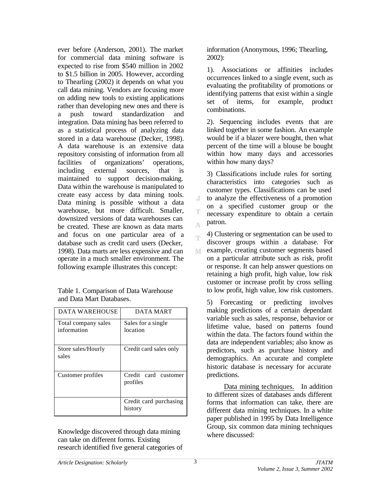ever before (Anderson, 2001). The market for commercial data mining software is expected to rise from \$540 million in 2002 to \$1.5 billion in 2005. However, according to Thearling (2002) it depends on what you call data mining. Vendors are focusing more on adding new tools to existing applications rather than developing new ones and there is a push toward standardization and integration. Data mining has been referred to as a statistical process of analyzing data stored in a data warehouse (Decker, 1998). A data warehouse is an extensive data repository consisting of information from all facilities of organizations' operations, including external sources, that is maintained to support decision-making. Data within the warehouse is manipulated to create easy access by data mining tools. Data mining is possible without a data warehouse, but more difficult. Smaller, downsized versions of data warehouses can be created. These are known as data marts and focus on one particular area of a database such as credit card users (Decker, 1998). Data marts are less expensive and can operate in a much smaller environment. The following example illustrates this concept:

| Table 1. Comparison of Data Warehouse |  |
|---------------------------------------|--|
| and Data Mart Databases.              |  |

| DATA WAREHOUSE                     | DATA MART                         |  |  |
|------------------------------------|-----------------------------------|--|--|
| Total company sales<br>information | Sales for a single<br>location    |  |  |
| Store sales/Hourly<br>sales        | Credit card sales only            |  |  |
| Customer profiles                  | Credit card customer<br>profiles  |  |  |
|                                    | Credit card purchasing<br>history |  |  |

Knowledge discovered through data mining can take on different forms. Existing research identified five general categories of information (Anonymous, 1996; Thearling, 2002):

1). Associations or affinities includes occurrences linked to a single event, such as evaluating the profitability of promotions or identifying patterns that exist within a single set of items, for example, product combinations.

2). Sequencing includes events that are linked together in some fashion. An example would be if a blazer were bought, then what percent of the time will a blouse be bought within how many days and accessories within how many days?

3) Classifications include rules for sorting characteristics into categories such as customer types. Classifications can be used to analyze the effectiveness of a promotion on a specified customer group or the necessary expenditure to obtain a certain patron.

4) Clustering or segmentation can be used to m discover groups within a database. For example, creating customer segments based M on a particular attribute such as risk, profit or response. It can help answer questions on retaining a high profit, high value, low risk customer or increase profit by cross selling to low profit, high value, low risk customers.

5) Forecasting or predicting involves making predictions of a certain dependant variable such as sales, response, behavior or lifetime value, based on patterns found within the data. The factors found within the data are independent variables; also know as predictors, such as purchase history and demographics. An accurate and complete historic database is necessary for accurate predictions.

Data mining techniques. In addition to different sizes of databases ands different forms that information can take, there are different data mining techniques. In a white paper published in 1995 by Data Intelligence Group, six common data mining techniques where discussed:

J

A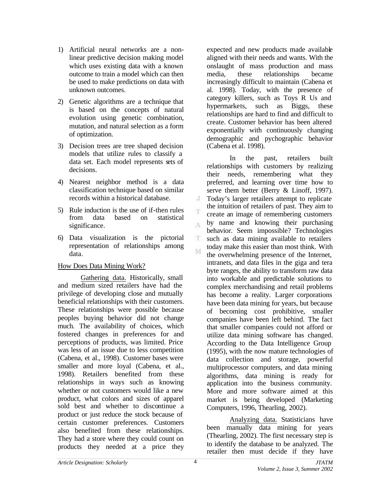- 1) Artificial neural networks are a nonlinear predictive decision making model which uses existing data with a known outcome to train a model which can then be used to make predictions on data with unknown outcomes.
- 2) Genetic algorithms are a technique that is based on the concepts of natural evolution using genetic combination, mutation, and natural selection as a form of optimization.
- 3) Decision trees are tree shaped decision models that utilize rules to classify a data set. Each model represents sets of decisions.
- 4) Nearest neighbor method is a data classification technique based on similar records within a historical database.
- 5) Rule induction is the use of if-then rules from data based on statistical significance.
- 6) Data visualization is the pictorial representation of relationships among data.

## How Does Data Mining Work?

Gathering data. Historically, small and medium sized retailers have had the privilege of developing close and mutually beneficial relationships with their customers. These relationships were possible because peoples buying behavior did not change much. The availability of choices, which fostered changes in preferences for and perceptions of products, was limited. Price was less of an issue due to less competition (Cabena, et al., 1998). Customer bases were smaller and more loyal (Cabena, et al., 1998). Retailers benefited from these relationships in ways such as knowing whether or not customers would like a new product, what colors and sizes of apparel sold best and whether to discontinue a product or just reduce the stock because of certain customer preferences. Customers also benefited from these relationships. They had a store where they could count on products they needed at a price they expected and new products made available aligned with their needs and wants. With the onslaught of mass production and mass media, these relationships became increasingly difficult to maintain (Cabena et al. 1998). Today, with the presence of category killers, such as Toys R Us and hypermarkets, such as Biggs, these relationships are hard to find and difficult to create. Customer behavior has been altered exponentially with continuously changing demographic and pychographic behavior (Cabena et al. 1998).

In the past, retailers built relationships with customers by realizing their needs, remembering what they preferred, and learning over time how to serve them better (Berry & Linoff, 1997). Today's larger retailers attempt to replicate the intuition of retailers of past. They aim to create an image of remembering customers by name and knowing their purchasing behavior. Seem impossible? Technologies such as data mining available to retailers today make this easier than most think. With the overwhelming presence of the Internet, intranets, and data files in the giga and tera byte ranges, the ability to transform raw data into workable and predictable solutions to complex merchandising and retail problems has become a reality. Larger corporations have been data mining for years, but because of becoming cost prohibitive, smaller companies have been left behind. The fact that smaller companies could not afford or utilize data mining software has changed. According to the Data Intelligence Group (1995), with the now mature technologies of data collection and storage, powerful multiprocessor computers, and data mining algorithms, data mining is ready for application into the business community. More and more software aimed at this market is being developed (Marketing Computers, 1996, Thearling, 2002).

Analyzing data. Statisticians have been manually data mining for years (Thearling, 2002). The first necessary step is to identify the database to be analyzed. The retailer then must decide if they have

 $\cdot$ T

T.

 $\Lambda$ 

T. M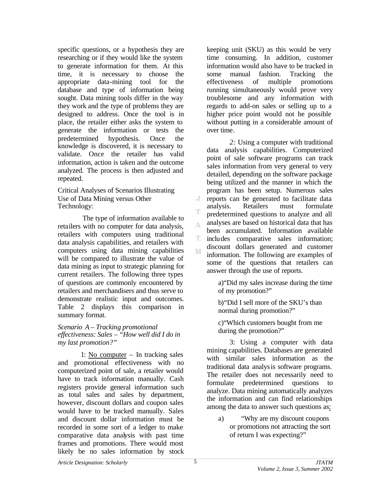specific questions, or a hypothesis they are researching or if they would like the system to generate information for them. At this time, it is necessary to choose the appropriate data-mining tool for the database and type of information being sought. Data mining tools differ in the way they work and the type of problems they are designed to address. Once the tool is in place, the retailer either asks the system to generate the information or tests the predetermined hypothesis. Once the knowledge is discovered, it is necessary to validate. Once the retailer has valid information, action is taken and the outcome analyzed. The process is then adjusted and repeated.

Critical Analyses of Scenarios Illustrating Use of Data Mining versus Other Technology:

 The type of information available to retailers with no computer for data analysis, retailers with computers using traditional data analysis capabilities, and retailers with computers using data mining capabilities will be compared to illustrate the value of data mining as input to strategic planning for current retailers. The following three types of questions are commonly encountered by retailers and merchandisers and thus serve to demonstrate realistic input and outcomes. Table 2 displays this comparison in summary format.

*Scenario A – Tracking promotional effectiveness: Sales – "How well did I do in my last promotion?"*

1: No computer – In tracking sales and promotional effectiveness with no computerized point of sale, a retailer would have to track information manually. Cash registers provide general information such as total sales and sales by department, however, discount dollars and coupon sales would have to be tracked manually. Sales and discount dollar information must be recorded in some sort of a ledger to make comparative data analysis with past time frames and promotions. There would most likely be no sales information by stock keeping unit (SKU) as this would be very time consuming. In addition, customer information would also have to be tracked in some manual fashion. Tracking the effectiveness of multiple promotions running simultaneously would prove very troublesome and any information with regards to add-on sales or selling up to a higher price point would not be possible without putting in a considerable amount of over time.

*2:* Using a computer with traditional data analysis capabilities. Computerized point of sale software programs can track sales information from very general to very detailed, depending on the software package being utilized and the manner in which the program has been setup. Numerous sales reports can be generated to facilitate data analysis. Retailers must formulate predetermined questions to analyze and all analyses are based on historical data that has been accumulated. Information available includes comparative sales information; discount dollars generated and customer information. The following are examples of some of the questions that retailers can answer through the use of reports.

> a)"Did my sales increase during the time of my promotion?"

b)"Did I sell more of the SKU's than normal during promotion?"

c)"Which customers bought from me during the promotion?"

3: Using a computer with data mining capabilities. Databases are generated with similar sales information as the traditional data analysis software programs. The retailer does not necessarily need to formulate predetermined questions to analyze. Data mining automatically analyzes the information and can find relationships among the data to answer such questions as:

a) "Why are my discount coupons or promotions not attracting the sort of return I was expecting?"

J T

A

T.

M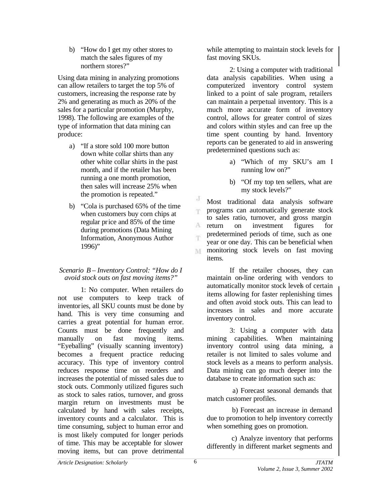b) "How do I get my other stores to match the sales figures of my northern stores?"

Using data mining in analyzing promotions can allow retailers to target the top 5% of customers, increasing the response rate by 2% and generating as much as 20% of the sales for a particular promotion (Murphy, 1998). The following are examples of the type of information that data mining can produce:

- a) "If a store sold 100 more button down white collar shirts than any other white collar shirts in the past month, and if the retailer has been running a one month promotion, then sales will increase 25% when the promotion is repeated."
- b) "Cola is purchased 65% of the time when customers buy corn chips at regular price and 85% of the time during promotions (Data Mining Information, Anonymous Author 1996)"

#### *Scenario B – Inventory Control: "How do I avoid stock outs on fast moving items?"*

1: No computer. When retailers do not use computers to keep track of inventories, all SKU counts must be done by hand. This is very time consuming and carries a great potential for human error. Counts must be done frequently and manually on fast moving items. "Eyeballing" (visually scanning inventory) becomes a frequent practice reducing accuracy. This type of inventory control reduces response time on reorders and increases the potential of missed sales due to stock outs. Commonly utilized figures such as stock to sales ratios, turnover, and gross margin return on investments must be calculated by hand with sales receipts, inventory counts and a calculator. This is time consuming, subject to human error and is most likely computed for longer periods of time. This may be acceptable for slower moving items, but can prove detrimental

while attempting to maintain stock levels for fast moving SKUs.

2: Using a computer with traditional data analysis capabilities. When using a computerized inventory control system linked to a point of sale program, retailers can maintain a perpetual inventory. This is a much more accurate form of inventory control, allows for greater control of sizes and colors within styles and can free up the time spent counting by hand. Inventory reports can be generated to aid in answering predetermined questions such as:

- a) "Which of my SKU's am I running low on?"
- b) "Of my top ten sellers, what are my stock levels?"

J Most traditional data analysis software programs can automatically generate stock m. to sales ratio, turnover, and gross margin A return on investment figures for predetermined periods of time, such as one ήή. year or one day. This can be beneficial when **monitoring** stock levels on fast moving items.

If the retailer chooses, they can maintain on-line ordering with vendors to automatically monitor stock levels of certain items allowing for faster replenishing times and often avoid stock outs. This can lead to increases in sales and more accurate inventory control.

3: Using a computer with data mining capabilities. When maintaining inventory control using data mining, a retailer is not limited to sales volume and stock levels as a means to perform analysis. Data mining can go much deeper into the database to create information such as:

 a) Forecast seasonal demands that match customer profiles.

 b) Forecast an increase in demand due to promotion to help inventory correctly when something goes on promotion.

c) Analyze inventory that performs differently in different market segments and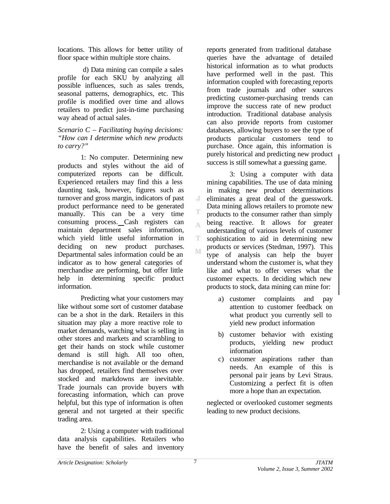locations. This allows for better utility of floor space within multiple store chains.

 d) Data mining can compile a sales profile for each SKU by analyzing all possible influences, such as sales trends, seasonal patterns, demographics, etc. This profile is modified over time and allows retailers to predict just-in-time purchasing way ahead of actual sales.

*Scenario C – Facilitating buying decisions: "How can I determine which new products to carry?"*

1: No computer. Determining new products and styles without the aid of computerized reports can be difficult. Experienced retailers may find this a less daunting task, however, figures such as turnover and gross margin, indicators of past product performance need to be generated manually. This can be a very time consuming process. Cash registers can maintain department sales information, which yield little useful information in deciding on new product purchases. Departmental sales information could be an indicator as to how general categories of merchandise are performing, but offer little help in determining specific product information.

Predicting what your customers may like without some sort of customer database can be a shot in the dark. Retailers in this situation may play a more reactive role to market demands, watching what is selling in other stores and markets and scrambling to get their hands on stock while customer demand is still high. All too often, merchandise is not available or the demand has dropped, retailers find themselves over stocked and markdowns are inevitable. Trade journals can provide buyers with forecasting information, which can prove helpful, but this type of information is often general and not targeted at their specific trading area.

2: Using a computer with traditional data analysis capabilities. Retailers who have the benefit of sales and inventory

reports generated from traditional database queries have the advantage of detailed historical information as to what products have performed well in the past. This information coupled with forecasting reports from trade journals and other sources predicting customer-purchasing trends can improve the success rate of new product introduction. Traditional database analysis can also provide reports from customer databases, allowing buyers to see the type of products particular customers tend to purchase. Once again, this information is purely historical and predicting new product success is still somewhat a guessing game.

3: Using a computer with data mining capabilities. The use of data mining in making new product determinations  $\cdot$ eliminates a great deal of the guesswork. Data mining allows retailers to promote new products to the consumer rather than simply being reactive. It allows for greater A understanding of various levels of customer T. sophistication to aid in determining new products or services (Stedman, 1997). This M type of analysis can help the buyer understand whom the customer is, what they like and what to offer verses what the customer expects. In deciding which new products to stock, data mining can mine for:

- a) customer complaints and pay attention to customer feedback on what product you currently sell to yield new product information
- b) customer behavior with existing products, yielding new product information
- c) customer aspirations rather than needs. An example of this is personal pa ir jeans by Levi Straus. Customizing a perfect fit is often more a hope than an expectation.

neglected or overlooked customer segments leading to new product decisions.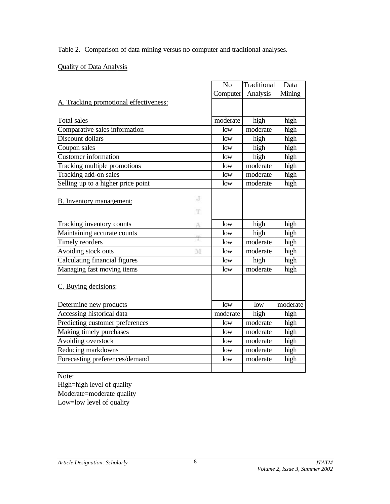Table 2. Comparison of data mining versus no computer and traditional analyses.

# Quality of Data Analysis

|                                        | N <sub>o</sub> | Traditional            | Data     |
|----------------------------------------|----------------|------------------------|----------|
|                                        | Computer       | Analysis               | Mining   |
| A. Tracking promotional effectiveness: |                |                        |          |
|                                        |                |                        |          |
| Total sales                            | moderate       | high                   | high     |
| Comparative sales information          | low            | moderate               | high     |
| Discount dollars                       | low            | high                   | high     |
| Coupon sales                           | low            | high                   | high     |
| <b>Customer</b> information            | low            | high                   | high     |
| Tracking multiple promotions           | low            | moderate               | high     |
| Tracking add-on sales                  | low            | moderate               | high     |
| Selling up to a higher price point     | low            | $\overline{m}$ oderate | high     |
|                                        |                |                        |          |
| J<br><b>B.</b> Inventory management:   |                |                        |          |
| T                                      |                |                        |          |
| Tracking inventory counts<br>A         | low            | high                   | high     |
| Maintaining accurate counts            | low            | high                   | high     |
| Timely reorders                        | low            | moderate               | high     |
| Avoiding stock outs<br>M               | low            | moderate               | high     |
| Calculating financial figures          | low            | high                   | high     |
| Managing fast moving items             | low            | moderate               | high     |
| C. Buying decisions:                   |                |                        |          |
|                                        |                |                        |          |
| Determine new products                 | low            | low                    | moderate |
| Accessing historical data              | moderate       | high                   | high     |
| Predicting customer preferences        | low            | moderate               | high     |
| Making timely purchases                | low            | moderate               | high     |
| Avoiding overstock                     | low            | moderate               | high     |
| Reducing markdowns                     | low            | moderate               | high     |
| Forecasting preferences/demand         | low            | moderate               | high     |
|                                        |                |                        |          |

Note:

High=high level of quality Moderate=moderate quality Low=low level of quality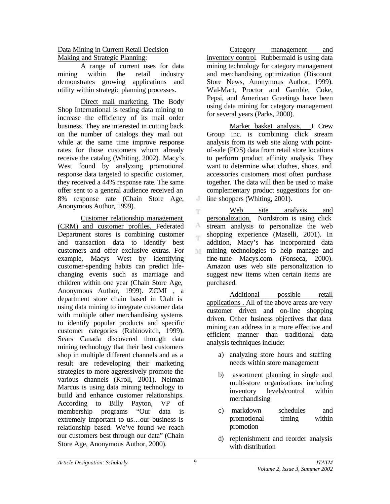#### Data Mining in Current Retail Decision Making and Strategic Planning:

A range of current uses for data mining within the retail industry demonstrates growing applications and utility within strategic planning processes.

Direct mail marketing*.* The Body Shop International is testing data mining to increase the efficiency of its mail order business. They are interested in cutting back on the number of catalogs they mail out while at the same time improve response rates for those customers whom already receive the catalog (Whiting, 2002). Macy's West found by analyzing promotional response data targeted to specific customer, they received a 44% response rate. The same offer sent to a general audience received an 8% response rate (Chain Store Age, Anonymous Author, 1999).

Customer relationship management (CRM) and customer profiles. Federated Department stores is combining customer and transaction data to identify best customers and offer exclusive extras. For example, Macys West by identifying customer-spending habits can predict lifechanging events such as marriage and children within one year (Chain Store Age, Anonymous Author, 1999). ZCMI , a department store chain based in Utah is using data mining to integrate customer data with multiple other merchandising systems to identify popular products and specific customer categories (Rabinovitch, 1999). Sears Canada discovered through data mining technology that their best customers shop in multiple different channels and as a result are redeveloping their marketing strategies to more aggressively promote the various channels (Kroll, 2001). Neiman Marcus is using data mining technology to build and enhance customer relationships. According to Billy Payton, VP of membership programs "Our data is extremely important to us…our business is relationship based. We've found we reach our customers best through our data" (Chain Store Age, Anonymous Author, 2000).

Category management and inventory control. Rubbermaid is using data mining technology for category management and merchandising optimization (Discount Store News, Anonymous Author, 1999). Wal-Mart, Proctor and Gamble, Coke, Pepsi, and American Greetings have been using data mining for category management for several years (Parks, 2000).

Market basket analysis. J Crew Group Inc. is combining click stream analysis from its web site along with pointof-sale (POS) data from retail store locations to perform product affinity analysis. They want to determine what clothes, shoes, and accessories customers most often purchase together. The data will then be used to make complementary product suggestions for online shoppers (Whiting, 2001).

Web site analysis and T. personalization. Nordstrom is using click A stream analysis to personalize the web shopping experience (Maselli, 2001). In m. addition, Macy's has incorporated data mining technologies to help manage and M fine-tune Macys.com (Fonseca, 2000). Amazon uses web site personalization to suggest new items when certain items are purchased.

Additional possible retail applications . All of the above areas are very customer driven and on-line shopping driven. Other business objectives that data mining can address in a more effective and efficient manner than traditional data analysis techniques include:

- a) analyzing store hours and staffing needs within store management
- b) assortment planning in single and multi-store organizations including inventory levels/control within merchandising
- c) markdown schedules and promotional timing within promotion
- d) replenishment and reorder analysis with distribution

 $\cdot$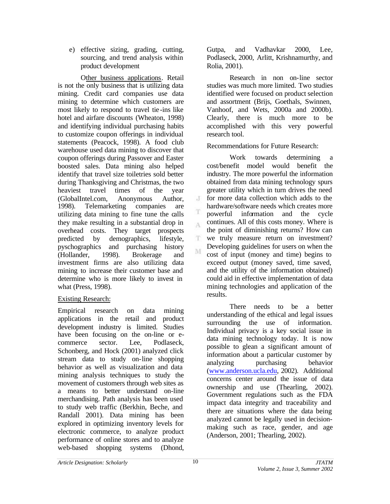e) effective sizing, grading, cutting, sourcing, and trend analysis within product development

Other business applications. Retail is not the only business that is utilizing data mining. Credit card companies use data mining to determine which customers are most likely to respond to travel tie -ins like hotel and airfare discounts (Wheaton, 1998) and identifying individual purchasing habits to customize coupon offerings in individual statements (Peacock, 1998). A food club warehouse used data mining to discover that coupon offerings during Passover and Easter boosted sales. Data mining also helped identify that travel size toiletries sold better during Thanksgiving and Christmas, the two heaviest travel times of the year (GlobalIntel.com, Anonymous Author, 1998). Telemarketing companies are utilizing data mining to fine tune the calls they make resulting in a substantial drop in overhead costs. They target prospects predicted by demographics, lifestyle, pyschographics and purchasing history (Hollander, 1998). Brokerage and investment firms are also utilizing data mining to increase their customer base and determine who is more likely to invest in what (Press, 1998).

# Existing Research:

Empirical research on data mining applications in the retail and product development industry is limited. Studies have been focusing on the on-line or ecommerce sector. Lee, Podlaseck, Schonberg, and Hock (2001) analyzed click stream data to study on-line shopping behavior as well as visualization and data mining analysis techniques to study the movement of customers through web sites as a means to better understand on-line merchandising. Path analysis has been used to study web traffic (Berkhin, Beche, and Randall 2001). Data mining has been explored in optimizing inventory levels for electronic commerce, to analyze product performance of online stores and to analyze web-based shopping systems (Dhond,

Gutpa, and Vadhavkar 2000, Lee, Podlaseck, 2000, Arlitt, Krishnamurthy, and Rolia, 2001).

Research in non on-line sector studies was much more limited. Two studies identified were focused on product selection and assortment (Brijs, Goethals, Swinnen, Vanhoof, and Wets, 2000a and 2000b). Clearly, there is much more to be accomplished with this very powerful research tool.

Recommendations for Future Research:

Work towards determining cost/benefit model would benefit the industry. The more powerful the information obtained from data mining technology spurs greater utility which in turn drives the need for more data collection which adds to the  $\cdot$ hardware/software needs which creates more powerful information and the cycle continues. All of this costs money. Where is the point of diminishing returns? How can  $\mathbf{T}$ we truly measure return on investment? Developing guidelines for users on when the cost of input (money and time) begins to exceed output (money saved, time saved, and the utility of the information obtained) could aid in effective implementation of data mining technologies and application of the results.

There needs to be a better understanding of the ethical and legal issues surrounding the use of information. Individual privacy is a key social issue in data mining technology today. It is now possible to glean a significant amount of information about a particular customer by analyzing purchasing behavior (www.anderson.ucla.edu, 2002). Additional concerns center around the issue of data ownership and use (Thearling, 2002). Government regulations such as the FDA impact data integrity and traceability and there are situations where the data being analyzed cannot be legally used in decisionmaking such as race, gender, and age (Anderson, 2001; Thearling, 2002).

A

M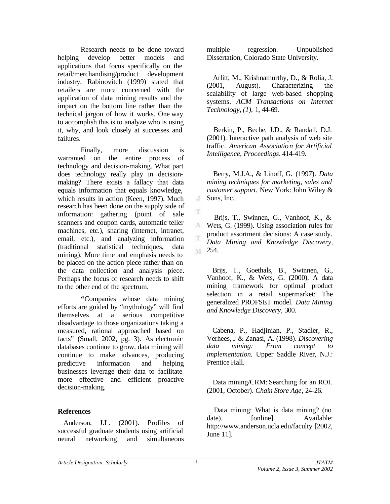Research needs to be done toward helping develop better models and applications that focus specifically on the retail/merchandising/product development industry. Rabinovitch (1999) stated that retailers are more concerned with the application of data mining results and the impact on the bottom line rather than the technical jargon of how it works. One way to accomplish this is to analyze who is using it, why, and look closely at successes and failures.

Finally, more discussion is warranted on the entire process of technology and decision-making. What part does technology really play in decisionmaking? There exists a fallacy that data equals information that equals knowledge, which results in action (Keen, 1997). Much research has been done on the supply side of information: gathering (point of sale scanners and coupon cards, automatic teller machines, etc.), sharing (internet, intranet, email, etc.), and analyzing information (traditional statistical techniques, data mining). More time and emphasis needs to be placed on the action piece rather than on the data collection and analysis piece. Perhaps the focus of research needs to shift to the other end of the spectrum.

**"**Companies whose data mining efforts are guided by "mythology" will find themselves at a serious competitive disadvantage to those organizations taking a measured, rational approached based on facts" (Small, 2002, pg. 3). As electronic databases continue to grow, data mining will continue to make advances, producing predictive information and helping businesses leverage their data to facilitate more effective and efficient proactive decision-making.

## **References**

 Anderson, J.L. (2001). Profiles of successful graduate students using artificial neural networking and simultaneous multiple regression. Unpublished Dissertation, Colorado State University.

 Arlitt, M., Krishnamurthy, D., & Rolia, J. (2001, August). Characterizing the scalability of large web-based shopping systems. *ACM Transactions on Internet Technology, (1),* 1, 44-69.

 Berkin, P., Beche, J.D., & Randall, D.J. (2001). Interactive path analysis of web site traffic. *American Association for Artificial Intelligence, Proceedings*. 414-419.

 Berry, M.J.A., & Linoff, G. (1997). *Data mining techniques for marketing, sales and*  customer support. New York: John Wiley & Sons, Inc.

 Brijs, T., Swinnen, G., Vanhoof, K., & Wets, G. (1999). Using association rules for product assortment decisions: A case study. *Data Mining and Knowledge Discovery,* M 254.

 Brijs, T., Goethals, B., Swinnen, G., Vanhoof, K., & Wets, G. (2000). A data mining framework for optimal product selection in a retail supermarket: The generalized PROFSET model. *Data Mining and Knowledge Discovery,* 300.

 Cabena, P., Hadjinian, P., Stadler, R., Verhees, J & Zanasi, A. (1998). *Discovering data mining: From concept to implementation.* Upper Saddle River, N.J.: Prentice Hall.

 Data mining/CRM: Searching for an ROI. (2001, October). *Chain Store Age*, 24-26.

 Data mining: What is data mining? (no date). [online]. Available: http://www.anderson.ucla.edu/faculty [2002, June 11].

T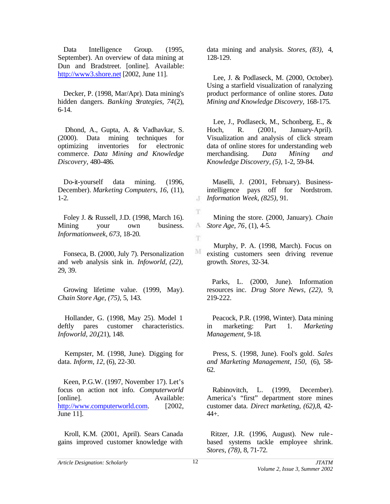Data Intelligence Group. (1995, September). An overview of data mining at Dun and Bradstreet. [online]. Available: http://www3.shore.net [2002, June 11].

 Decker, P. (1998, Mar/Apr). Data mining's hidden dangers. *Banking Strategies, 74*(2), 6-14.

 Dhond, A., Gupta, A. & Vadhavkar, S. (2000). Data mining techniques for optimizing inventories for electronic commerce. *Data Mining and Knowledge Discovery,* 480-486.

 Do-it-yourself data mining. (1996, December). *Marketing Computers, 16,* (11), 1-2.

 Foley J. & Russell, J.D. (1998, March 16). Mining your own business. *Informationweek, 673,* 18-20.

 Fonseca, B. (2000, July 7). Personalization and web analysis sink in. *Infoworld, (22),*  29, 39.

 Growing lifetime value. (1999, May). *Chain Store Age, (75),* 5, 143.

 Hollander, G. (1998, May 25). Model 1 deftly pares customer characteristics. *Infoworld, 20,*(21), 148.

 Kempster, M. (1998, June). Digging for data. *Inform, 12,* (6), 22-30.

 Keen, P.G.W. (1997, November 17). Let's focus on action not info. *Computerworld* [online]. Available: http://www.computerworld.com. [2002, June 11].

 Kroll, K.M. (2001, April). Sears Canada gains improved customer knowledge with

data mining and analysis. *Stores, (83),* 4, 128-129.

 Lee, J. & Podlaseck, M. (2000, October). Using a starfield visualization of ranalyzing product performance of online stores. *Data Mining and Knowledge Discovery,* 168-175.

 Lee, J., Podlaseck, M., Schonberg, E., & Hoch, R. (2001, January-April). Visualization and analysis of click stream data of online stores for understanding web merchandising. *Data Mining and Knowledge Discovery, (5),* 1-2, 59-84.

 Maselli, J. (2001, February). Businessintelligence pays off for Nordstrom. *Information Week, (825),* 91.

T Mining the store. (2000, January). *Chain Store Age, 76*, (1), 4-5.

 Murphy, P. A. (1998, March). Focus on  $\mathbf{M}$ existing customers seen driving revenue growth. *Stores,* 32-34.

 Parks, L. (2000, June). Information resources inc. *Drug Store News, (22),* 9, 219-222.

 Peacock, P.R. (1998, Winter). Data mining in marketing: Part 1. *Marketing Management,* 9-18.

 Press, S. (1998, June). Fool's gold. *Sales and Marketing Management, 150,* (6), 58- 62.

 Rabinovitch, L. (1999, December). America's "first" department store mines customer data. *Direct marketing, (62),*8, 42- 44+.

Ritzer, J.R. (1996, August). New rule based systems tackle employee shrink. *Stores, (78),* 8, 71-72.

T.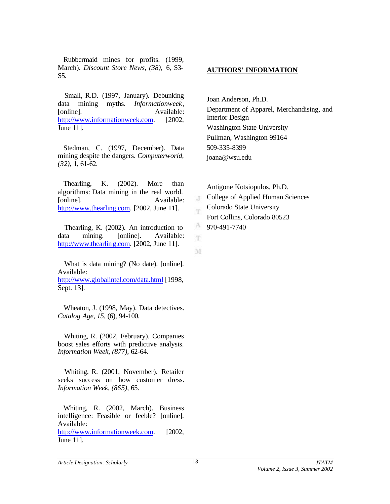Rubbermaid mines for profits. (1999, March). *Discount Store News, (38),* 6, S3- S5.

 Small, R.D. (1997, January). Debunking data mining myths. *Informationweek* , [online]. Available: http://www.informationweek.com. [2002, June 11].

Stedman, C. (1997, December). Data mining despite the dangers. *Computerworld, (32),* 1, 61-62.

 Thearling, K. (2002). More than algorithms: Data mining in the real world. [online]. Available: http://www.thearling.com. [2002, June 11].

 Thearling, K. (2002). An introduction to data mining. [online]. Available: http://www.thearling.com. [2002, June 11].

 What is data mining? (No date). [online]. Available: http://www.globalintel.com/data.html [1998, Sept. 13].

 Wheaton, J. (1998, May). Data detectives. *Catalog Age, 15,* (6), 94-100.

 Whiting, R. (2002, February). Companies boost sales efforts with predictive analysis. *Information Week, (877),* 62-64.

 Whiting, R. (2001, November). Retailer seeks success on how customer dress. *Information Week, (865),* 65.

 Whiting, R. (2002, March). Business intelligence: Feasible or feeble? [online]. Available:

http://www.informationweek.com. [2002, June 11].

### **AUTHORS' INFORMATION**

Joan Anderson, Ph.D. Department of Apparel, Merchandising, and Interior Design Washington State University Pullman, Washington 99164 509-335-8399 joana@wsu.edu

Antigone Kotsiopulos, Ph.D. College of Applied Human Sciences  $\cdot$ T Colorado State University m Fort Collins, Colorado 80523 A 970-491-7740

M

T.